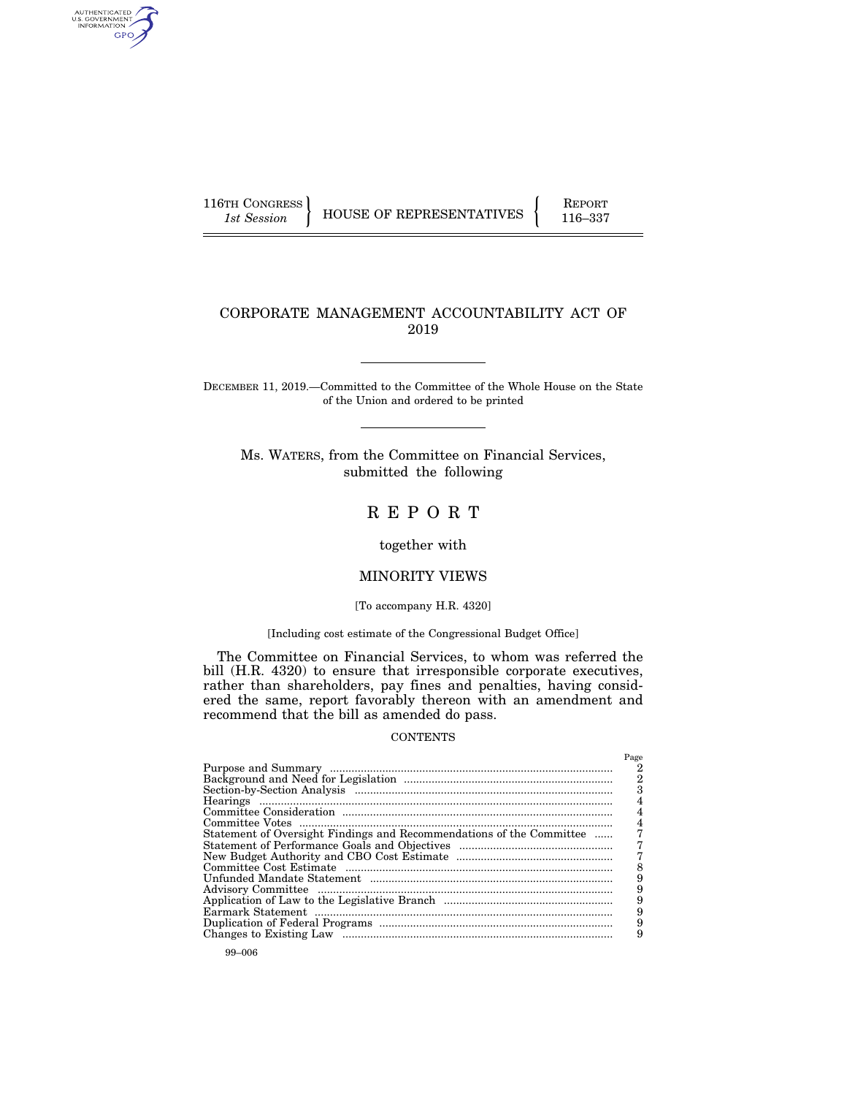AUTHENTICATED<br>U.S. GOVERNMENT<br>INFORMATION GPO

116TH CONGRESS HOUSE OF REPRESENTATIVES FEPORT 116–337

# CORPORATE MANAGEMENT ACCOUNTABILITY ACT OF 2019

DECEMBER 11, 2019.—Committed to the Committee of the Whole House on the State of the Union and ordered to be printed

Ms. WATERS, from the Committee on Financial Services, submitted the following

# R E P O R T

together with

# MINORITY VIEWS

### [To accompany H.R. 4320]

## [Including cost estimate of the Congressional Budget Office]

The Committee on Financial Services, to whom was referred the bill (H.R. 4320) to ensure that irresponsible corporate executives, rather than shareholders, pay fines and penalties, having considered the same, report favorably thereon with an amendment and recommend that the bill as amended do pass.

## **CONTENTS**

|                                                                      | Page |
|----------------------------------------------------------------------|------|
|                                                                      |      |
|                                                                      |      |
|                                                                      |      |
|                                                                      |      |
|                                                                      |      |
|                                                                      |      |
| Statement of Oversight Findings and Recommendations of the Committee |      |
|                                                                      |      |
|                                                                      |      |
|                                                                      |      |
|                                                                      |      |
|                                                                      | 9    |
|                                                                      | 9    |
|                                                                      |      |
|                                                                      |      |
|                                                                      |      |
|                                                                      |      |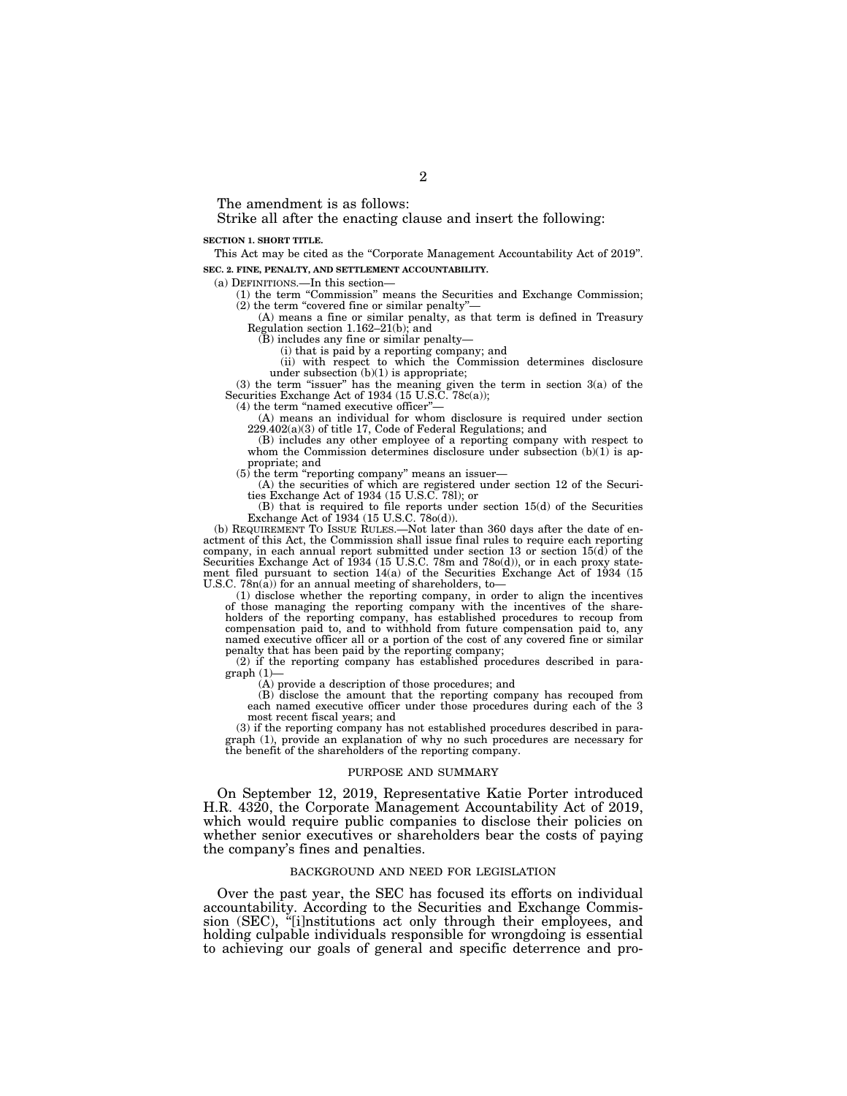The amendment is as follows:

Strike all after the enacting clause and insert the following:

**SECTION 1. SHORT TITLE.** 

This Act may be cited as the "Corporate Management Accountability Act of 2019". **SEC. 2. FINE, PENALTY, AND SETTLEMENT ACCOUNTABILITY.** 

(a) DEFINITIONS.—In this section—

(1) the term ''Commission'' means the Securities and Exchange Commission;  $(2)$  the term "covered fine or similar penalty"

(A) means a fine or similar penalty, as that term is defined in Treasury Regulation section 1.162–21(b); and

 $(B)$  includes any fine or similar penalty-

(i) that is paid by a reporting company; and

(ii) with respect to which the Commission determines disclosure under subsection  $(b)(1)$  is appropriate;

(3) the term ''issuer'' has the meaning given the term in section 3(a) of the Securities Exchange Act of 1934 (15 U.S.C. 78c(a));

 $(4)$  the term "named executive officer"

(A) means an individual for whom disclosure is required under section 229.402(a)(3) of title 17, Code of Federal Regulations; and

(B) includes any other employee of a reporting company with respect to whom the Commission determines disclosure under subsection  $(b)(1)$  is appropriate; and

 $(5)$  the term "reporting company" means an issuer—

(A) the securities of which are registered under section 12 of the Securities Exchange Act of 1934 (15 U.S.C. 78l); or

(B) that is required to file reports under section 15(d) of the Securities

Exchange Act of 1934 (15 U.S.C. 78o(d)). (b) REQUIREMENT TO ISSUE RULES.—Not later than 360 days after the date of enactment of this Act, the Commission shall issue final rules to require each reporting company, in each annual report submitted under section 13 or section 15(d) of the Securities Exchange Act of 1934 (15 U.S.C. 78m and 78o(d)), or in each proxy statement filed pursuant to section  $14(a)$  of the Securities Exchange Act of 1934 (15 U.S.C. 78n(a)) for an annual meeting of shareholders, to—

(1) disclose whether the reporting company, in order to align the incentives of those managing the reporting company with the incentives of the shareholders of the reporting company, has established procedures to recoup from compensation paid to, and to withhold from future compensation paid to, any named executive officer all or a portion of the cost of any covered fine or similar penalty that has been paid by the reporting company;

(2) if the reporting company has established procedures described in paragraph (1)—

(A) provide a description of those procedures; and

(B) disclose the amount that the reporting company has recouped from each named executive officer under those procedures during each of the 3 most recent fiscal years; and

(3) if the reporting company has not established procedures described in paragraph (1), provide an explanation of why no such procedures are necessary for the benefit of the shareholders of the reporting company.

#### PURPOSE AND SUMMARY

On September 12, 2019, Representative Katie Porter introduced H.R. 4320, the Corporate Management Accountability Act of 2019, which would require public companies to disclose their policies on whether senior executives or shareholders bear the costs of paying the company's fines and penalties.

#### BACKGROUND AND NEED FOR LEGISLATION

Over the past year, the SEC has focused its efforts on individual accountability. According to the Securities and Exchange Commission (SEC), "[i]nstitutions act only through their employees, and holding culpable individuals responsible for wrongdoing is essential to achieving our goals of general and specific deterrence and pro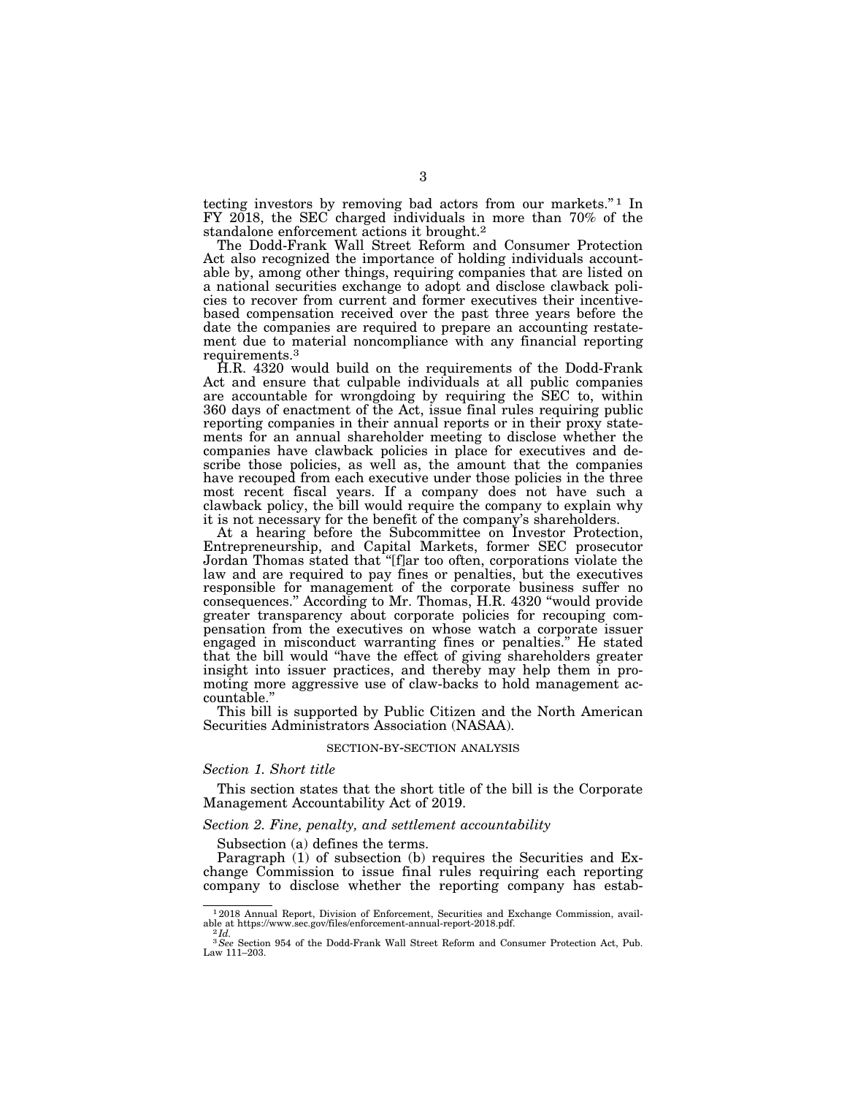tecting investors by removing bad actors from our markets.'' 1 In FY 2018, the SEC charged individuals in more than 70% of the standalone enforcement actions it brought.2

The Dodd-Frank Wall Street Reform and Consumer Protection Act also recognized the importance of holding individuals accountable by, among other things, requiring companies that are listed on a national securities exchange to adopt and disclose clawback policies to recover from current and former executives their incentivebased compensation received over the past three years before the date the companies are required to prepare an accounting restatement due to material noncompliance with any financial reporting requirements.3

H.R. 4320 would build on the requirements of the Dodd-Frank Act and ensure that culpable individuals at all public companies are accountable for wrongdoing by requiring the SEC to, within 360 days of enactment of the Act, issue final rules requiring public reporting companies in their annual reports or in their proxy statements for an annual shareholder meeting to disclose whether the companies have clawback policies in place for executives and describe those policies, as well as, the amount that the companies have recouped from each executive under those policies in the three most recent fiscal years. If a company does not have such a clawback policy, the bill would require the company to explain why it is not necessary for the benefit of the company's shareholders.

At a hearing before the Subcommittee on Investor Protection, Entrepreneurship, and Capital Markets, former SEC prosecutor Jordan Thomas stated that ''[f]ar too often, corporations violate the law and are required to pay fines or penalties, but the executives responsible for management of the corporate business suffer no consequences.'' According to Mr. Thomas, H.R. 4320 ''would provide greater transparency about corporate policies for recouping compensation from the executives on whose watch a corporate issuer engaged in misconduct warranting fines or penalties.'' He stated that the bill would ''have the effect of giving shareholders greater insight into issuer practices, and thereby may help them in promoting more aggressive use of claw-backs to hold management accountable.''

This bill is supported by Public Citizen and the North American Securities Administrators Association (NASAA).

#### SECTION-BY-SECTION ANALYSIS

#### *Section 1. Short title*

This section states that the short title of the bill is the Corporate Management Accountability Act of 2019.

#### *Section 2. Fine, penalty, and settlement accountability*

Subsection (a) defines the terms.

Paragraph (1) of subsection (b) requires the Securities and Exchange Commission to issue final rules requiring each reporting company to disclose whether the reporting company has estab-

 $^{-1}$  2018 Annual Report, Division of Enforcement, Securities and Exchange Commission, available at https://www.sec.gov/files/enforcement-annual-report-2018.pdf. able at https://www.sec.gov/files/enforcement-annual-report-2018.pdf.<br><sup>2</sup> *Id.*<br><sup>3</sup> *See* Section 954 of the Dodd-Frank Wall Street Reform and Consumer Protection Act, Pub.

Law 111–203.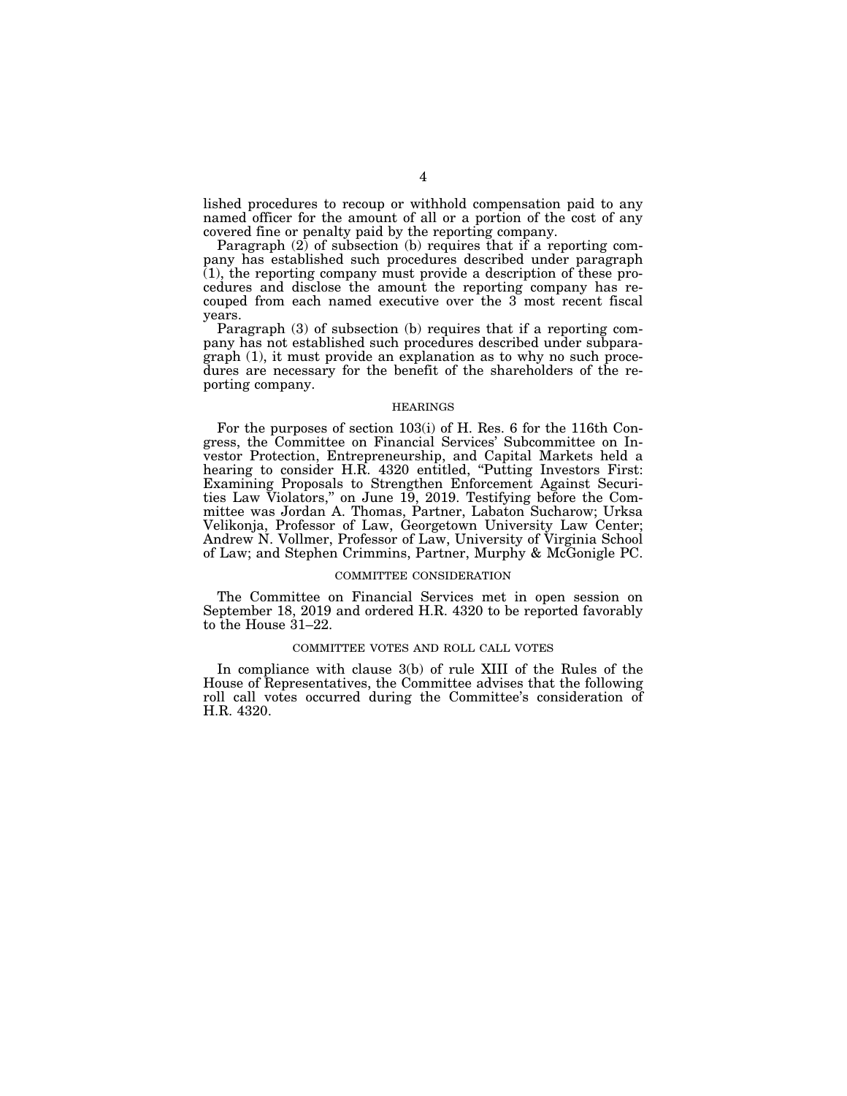lished procedures to recoup or withhold compensation paid to any named officer for the amount of all or a portion of the cost of any covered fine or penalty paid by the reporting company.

Paragraph  $(2)$  of subsection  $(b)$  requires that if a reporting company has established such procedures described under paragraph  $(1)$ , the reporting company must provide a description of these procedures and disclose the amount the reporting company has recouped from each named executive over the 3 most recent fiscal years.

Paragraph (3) of subsection (b) requires that if a reporting company has not established such procedures described under subparagraph (1), it must provide an explanation as to why no such procedures are necessary for the benefit of the shareholders of the reporting company.

#### HEARINGS

For the purposes of section 103(i) of H. Res. 6 for the 116th Congress, the Committee on Financial Services' Subcommittee on Investor Protection, Entrepreneurship, and Capital Markets held a hearing to consider H.R. 4320 entitled, "Putting Investors First: Examining Proposals to Strengthen Enforcement Against Securities Law Violators,'' on June 19, 2019. Testifying before the Committee was Jordan A. Thomas, Partner, Labaton Sucharow; Urksa Velikonja, Professor of Law, Georgetown University Law Center; Andrew N. Vollmer, Professor of Law, University of Virginia School of Law; and Stephen Crimmins, Partner, Murphy & McGonigle PC.

#### COMMITTEE CONSIDERATION

The Committee on Financial Services met in open session on September 18, 2019 and ordered H.R. 4320 to be reported favorably to the House 31–22.

## COMMITTEE VOTES AND ROLL CALL VOTES

In compliance with clause 3(b) of rule XIII of the Rules of the House of Representatives, the Committee advises that the following roll call votes occurred during the Committee's consideration of H.R. 4320.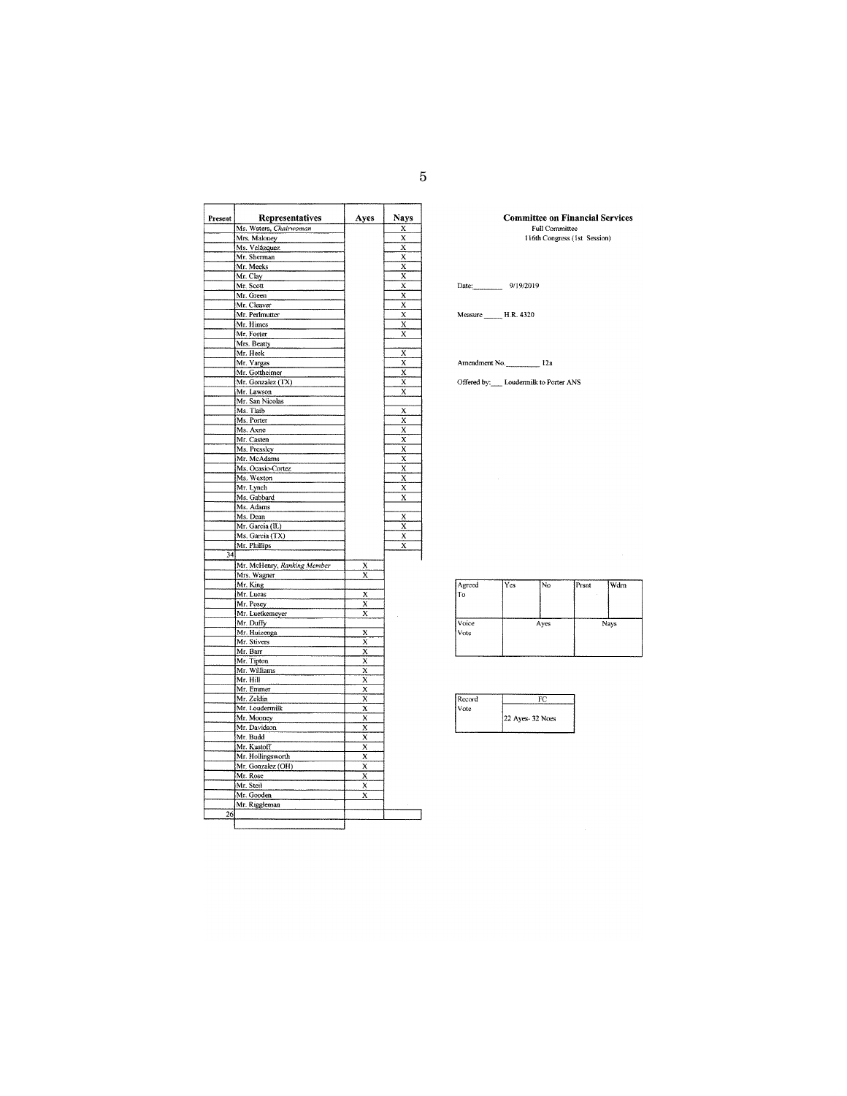| Present | Representatives             | Ayes                    | <b>Nays</b>             |
|---------|-----------------------------|-------------------------|-------------------------|
|         | Ms. Waters, Chairwoman      |                         | X                       |
|         | Mrs. Maloney                |                         | X                       |
|         | Ms. Velázquez               |                         | X                       |
|         | Mr. Sherman                 |                         | $\overline{\mathbf{x}}$ |
|         | Mr. Meeks                   |                         | X                       |
|         | Mr. Clay                    |                         | X                       |
|         | Mr. Scott                   |                         | X                       |
|         | Mr. Green                   |                         | X                       |
|         | Mr. Cleaver                 |                         | $\overline{\mathbf{x}}$ |
|         | Mr. Perlmutter              |                         | X                       |
|         | Mr. Himes                   |                         | X                       |
|         | Mr. Foster                  |                         | $\overline{\mathbf{x}}$ |
|         | Mrs. Beatty                 |                         |                         |
|         | Mr. Heck                    |                         | х                       |
|         | Mr. Vargas                  |                         | X                       |
|         | Mr. Gottheimer              |                         | X                       |
|         | Mr. Gonzalez (TX)           |                         | X                       |
|         | Mr. Lawson                  |                         | $\overline{\mathbf{x}}$ |
|         | Mr. San Nicolas             |                         |                         |
|         | Ms. Tlaib                   |                         | X                       |
|         | Ms. Porter                  |                         | X                       |
|         | Ms. Axne                    |                         | X                       |
|         | Mr. Casten                  |                         | X                       |
|         | Ms. Pressley                |                         | X                       |
|         | Mr. McAdams                 |                         | $\overline{\mathbf{x}}$ |
|         | Ms. Ocasio-Cortez           |                         | X                       |
|         | Ms. Wexton                  |                         | X                       |
|         | Mr. Lynch                   |                         | X                       |
|         | Ms. Gabbard                 |                         | X                       |
|         | Ms. Adams<br>Ms. Dean       |                         |                         |
|         | Mr. Garcia (IL)             |                         | X<br>x                  |
|         | Ms. Garcia (TX)             |                         | $\overline{\mathbf{x}}$ |
|         | Mr. Phillips                |                         | X                       |
| 34      |                             |                         |                         |
|         | Mr. McHenry, Ranking Member | x                       |                         |
|         | Mrs. Wagner                 | X                       |                         |
|         | Mr. King                    |                         |                         |
|         | Mr. Lucas                   | X                       |                         |
|         | Mr. Posey                   | X                       |                         |
|         | Mr. Luetkemeyer             | $\overline{\mathbf{x}}$ |                         |
|         | Mr. Duffy                   |                         |                         |
|         | Mr. Huizenga                | X                       |                         |
|         | Mr. Stivers                 | X                       |                         |
|         | Mr. Barr                    | $\overline{\mathbf{x}}$ |                         |
|         | Mr. Tipton                  | $\overline{x}$          |                         |
|         | Mr. Williams                | X                       |                         |
|         | Mr. Hill                    | X                       |                         |
|         | Mr. Emmer                   | $\overline{\mathbf{x}}$ |                         |
|         | Mr. Zeldin                  | X                       |                         |
|         | Mr. Loudermilk              | $\overline{\mathbf{x}}$ |                         |
|         | Mr. Mooney                  | $\overline{\mathbf{x}}$ |                         |
|         | Mr. Davidson                | X                       |                         |
|         | Mr. Budd                    | X                       |                         |
|         | Mr. Kustoff                 | x                       |                         |
|         | Mr. Hollingsworth           | $\overline{\mathbf{x}}$ |                         |
|         | Mr. Gonzalez (OH)           | X                       |                         |
|         | Mr. Rose                    | $\overline{\mathbf{x}}$ |                         |
|         | Mr. Steil                   | X                       |                         |
|         | Mr. Gooden                  | X                       |                         |
|         |                             |                         |                         |
| 26      | Mr. Riggleman               |                         |                         |

**Committee on Financial Services**<br>Full Committee<br>116th Congress (1st Session)

Date: 9/19/2019

Measure \_\_\_\_\_\_\_ H.R. 4320

Amendment No. 12a

Offered by: \_\_\_\_ Loudermilk to Porter ANS

| Agreed<br>To  | l Yes | i No | Prsnt | Wdrn |
|---------------|-------|------|-------|------|
| Voice<br>Vote |       | Ayes |       | Nays |

| Record |                 |  |  |
|--------|-----------------|--|--|
| Vote   |                 |  |  |
|        | 22 Ayes-32 Noes |  |  |
|        |                 |  |  |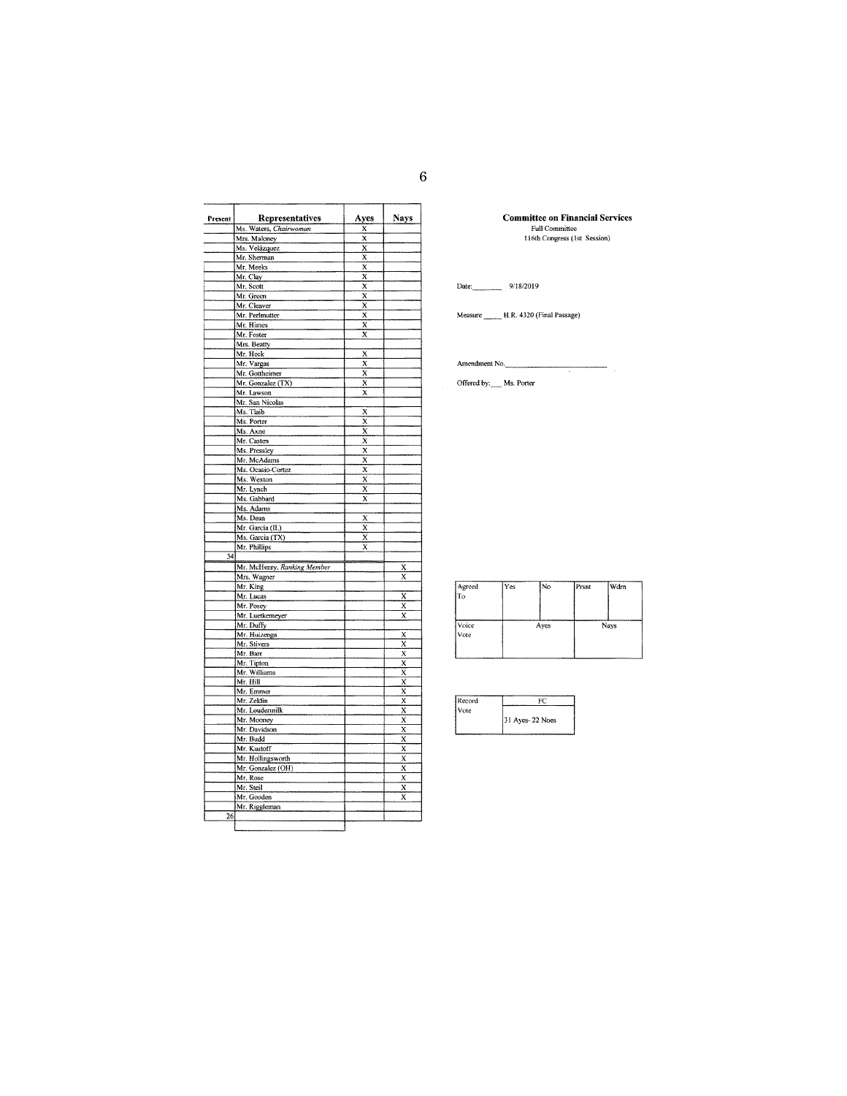| Present | Representatives             | Ayes                    | Nays                    |
|---------|-----------------------------|-------------------------|-------------------------|
|         | Ms. Waters, Chairwoman      | X                       |                         |
|         | Mrs. Maloney                | x                       |                         |
|         | Ms. Velázquez               | X<br>X                  |                         |
|         | Mr. Sherman<br>Mr. Meeks    | X                       |                         |
|         | Mr. Clay                    | X                       |                         |
|         | Mr. Scott                   | X                       |                         |
|         | Mr. Green                   | X                       |                         |
|         | Mr. Cleaver                 | X                       |                         |
|         | Mr. Perlmutter              | $\overline{\mathbf{x}}$ |                         |
|         | Mr. Himes                   | X                       |                         |
|         | Mr. Foster                  | X                       |                         |
|         | Mrs. Beatty                 |                         |                         |
|         | Mr. Heck                    | X                       |                         |
|         | Mr. Vargas                  | X                       |                         |
|         | Mr. Gottheimer              | X                       |                         |
|         | Mr. Gonzalez (TX)           | X                       |                         |
|         | Mr. Lawson                  | X                       |                         |
|         | Mr. San Nicolas             |                         |                         |
|         | Ms. Tlaib                   | $\bar{\mathbf{x}}$      |                         |
|         | Ms. Porter                  | x                       |                         |
|         | Ms. Axne                    | X                       |                         |
|         | Mr. Casten                  | X                       |                         |
|         | Ms. Pressley                | X                       |                         |
|         | Mr. McAdams                 | X                       |                         |
|         | Ms. Ocasio-Cortez           | x                       |                         |
|         | Ms: Wexton                  | X                       |                         |
|         | Mr. Lynch                   | X                       |                         |
|         | Ms. Gabbard                 | X                       |                         |
|         | Ms. Adams                   |                         |                         |
|         | Ms. Dean                    | X                       |                         |
|         | Mr. Garcia (IL)             | X                       |                         |
|         | Ms. Garcia (TX)             | X                       |                         |
|         | Mr. Phillips                | X                       |                         |
| 34      |                             |                         |                         |
|         | Mr. McHenry, Ranking Member |                         | x                       |
|         | Mrs. Wagner                 |                         | X                       |
|         | Mr. King                    |                         |                         |
|         | Mr. Lucas                   |                         | X                       |
|         | Mr. Posey                   |                         | $\overline{\mathbf{x}}$ |
|         | Mr. Luetkemeyer             |                         | X                       |
|         | Mr. Duffy                   |                         |                         |
|         | Mr. Huizenga                |                         | X                       |
|         | Mr. Stivers                 |                         | X                       |
|         | Mr. Barr                    |                         | $\overline{\mathbf{x}}$ |
|         | Mr. Tipton                  |                         | $\overline{\mathbf{x}}$ |
|         | Mr. Williams                |                         | X                       |
|         | Mr. Hill                    |                         | $\bar{\mathbf{x}}$      |
|         | Mr. Emmer                   |                         | X                       |
|         | Mr. Zeldin                  |                         | X                       |
|         | Mr. Loudermilk              |                         | X                       |
|         | Mr. Mooney                  |                         | X                       |
|         | Mr. Davidson                |                         | $\overline{\mathbf{x}}$ |
|         | Mr. Budd                    |                         | $\overline{\mathbf{x}}$ |
|         | Mr. Kustoff                 |                         | X                       |
|         | Mr. Hollingsworth           |                         | X                       |
|         | Mr. Gonzalez (OH)           |                         | X                       |
|         | Mr. Rose                    |                         | X                       |
|         | Mr. Steil                   |                         | $\overline{\mathbf{x}}$ |
|         | Mr. Gooden                  |                         | $\overline{\mathsf{x}}$ |
|         | Mr. Riggleman               |                         |                         |
| 26      |                             |                         |                         |
|         |                             |                         |                         |

**Committee on Financial Services**<br>Full Committee<br>116th Congress (1st Session)

## Date: 9/18/2019

Measure \_\_\_\_\_\_\_ H.R. 4320 (Final Passage)

Amendment No.

Offered by: Ms. Porter

| Agreed<br>łТo | l Yes | INo | Prsnt | Wdm |
|---------------|-------|-----|-------|-----|
| Voice<br>Vote | Ayes  |     | Nays  |     |
|               |       |     |       |     |

| Record |                 |
|--------|-----------------|
| Vote   |                 |
|        | 31 Ayes-22 Noes |
|        |                 |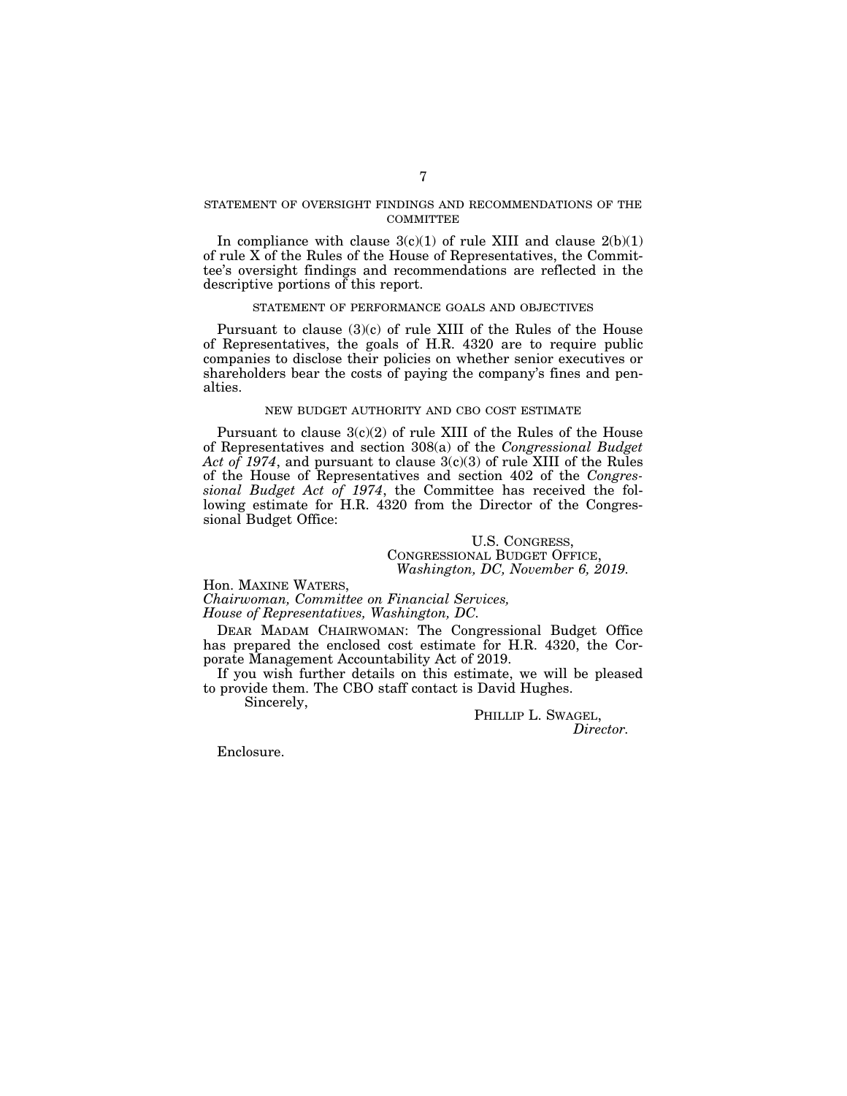## STATEMENT OF OVERSIGHT FINDINGS AND RECOMMENDATIONS OF THE **COMMITTEE**

In compliance with clause  $3(c)(1)$  of rule XIII and clause  $2(b)(1)$ of rule X of the Rules of the House of Representatives, the Committee's oversight findings and recommendations are reflected in the descriptive portions of this report.

## STATEMENT OF PERFORMANCE GOALS AND OBJECTIVES

Pursuant to clause (3)(c) of rule XIII of the Rules of the House of Representatives, the goals of H.R. 4320 are to require public companies to disclose their policies on whether senior executives or shareholders bear the costs of paying the company's fines and penalties.

# NEW BUDGET AUTHORITY AND CBO COST ESTIMATE

Pursuant to clause 3(c)(2) of rule XIII of the Rules of the House of Representatives and section 308(a) of the *Congressional Budget Act of 1974*, and pursuant to clause 3(c)(3) of rule XIII of the Rules of the House of Representatives and section 402 of the *Congressional Budget Act of 1974*, the Committee has received the following estimate for H.R. 4320 from the Director of the Congressional Budget Office:

> U.S. CONGRESS, CONGRESSIONAL BUDGET OFFICE, *Washington, DC, November 6, 2019.*

Hon. MAXINE WATERS,

*Chairwoman, Committee on Financial Services, House of Representatives, Washington, DC.* 

DEAR MADAM CHAIRWOMAN: The Congressional Budget Office has prepared the enclosed cost estimate for H.R. 4320, the Corporate Management Accountability Act of 2019.

If you wish further details on this estimate, we will be pleased to provide them. The CBO staff contact is David Hughes.

Sincerely,

PHILLIP L. SWAGEL, *Director.* 

Enclosure.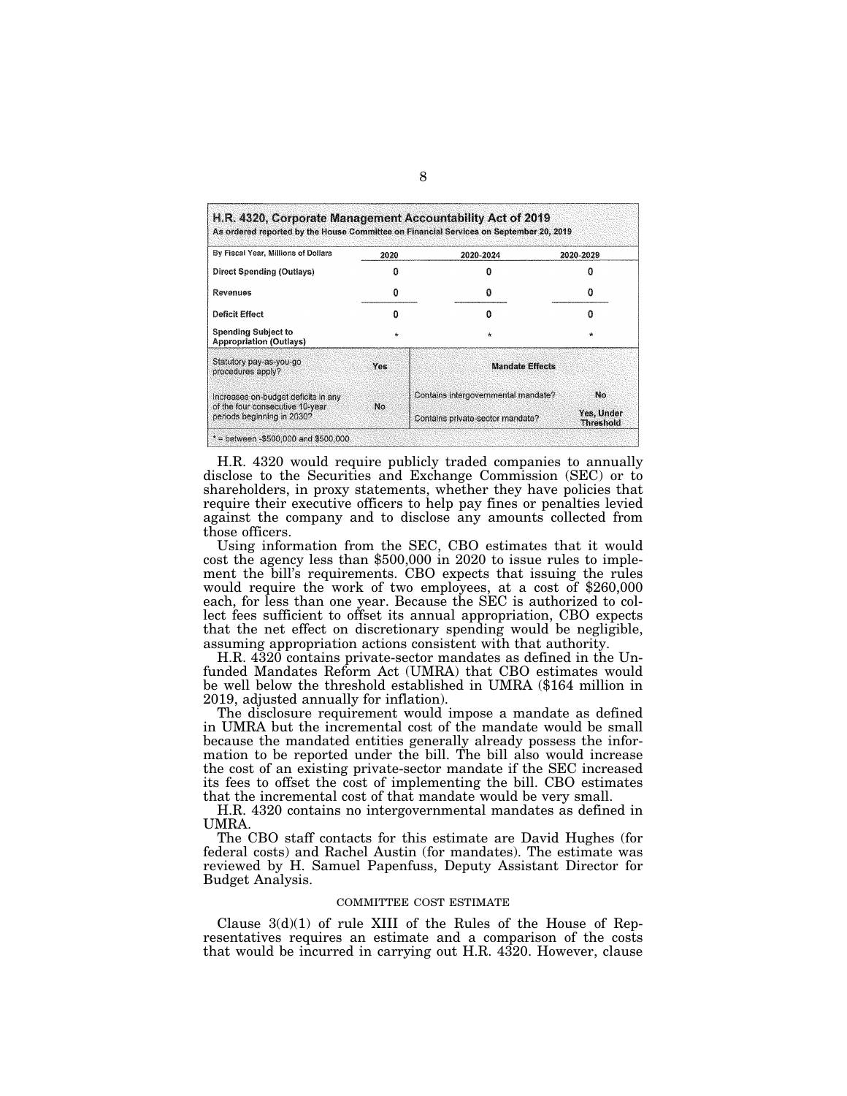| By Fiscal Year, Millions of Dollars                           | 2020       | 2020-2024                           | 2020-2029                      |
|---------------------------------------------------------------|------------|-------------------------------------|--------------------------------|
| <b>Direct Spending (Outlays)</b>                              | Ω          |                                     | o                              |
| <b>Revenues</b>                                               | o          | o                                   | n                              |
| Deficit Effect                                                | Ω          | n                                   | o                              |
| <b>Spending Subject to</b><br><b>Appropriation (Outlays)</b>  | $\star$    | $\star$                             | $\star$                        |
| Statutory pay-as-you-go<br>procedures apply?                  | <b>Yes</b> | <b>Mandate Effects</b>              |                                |
| Increases on-budget deficits in any                           |            | Contains intergovernmental mandate? | No                             |
| of the four consecutive 10-year<br>periods beginning in 2030? | No.        | Contains private-sector mandate?    | Yes, Under<br><b>Threshold</b> |

H.R. 4320 would require publicly traded companies to annually disclose to the Securities and Exchange Commission (SEC) or to shareholders, in proxy statements, whether they have policies that require their executive officers to help pay fines or penalties levied against the company and to disclose any amounts collected from those officers.

Using information from the SEC, CBO estimates that it would cost the agency less than \$500,000 in 2020 to issue rules to implement the bill's requirements. CBO expects that issuing the rules would require the work of two employees, at a cost of \$260,000 each, for less than one year. Because the SEC is authorized to collect fees sufficient to offset its annual appropriation, CBO expects that the net effect on discretionary spending would be negligible, assuming appropriation actions consistent with that authority.

H.R. 4320 contains private-sector mandates as defined in the Unfunded Mandates Reform Act (UMRA) that CBO estimates would be well below the threshold established in UMRA (\$164 million in 2019, adjusted annually for inflation).

The disclosure requirement would impose a mandate as defined in UMRA but the incremental cost of the mandate would be small because the mandated entities generally already possess the information to be reported under the bill. The bill also would increase the cost of an existing private-sector mandate if the SEC increased its fees to offset the cost of implementing the bill. CBO estimates that the incremental cost of that mandate would be very small.

H.R. 4320 contains no intergovernmental mandates as defined in UMRA.

The CBO staff contacts for this estimate are David Hughes (for federal costs) and Rachel Austin (for mandates). The estimate was reviewed by H. Samuel Papenfuss, Deputy Assistant Director for Budget Analysis.

#### COMMITTEE COST ESTIMATE

Clause  $3(d)(1)$  of rule XIII of the Rules of the House of Representatives requires an estimate and a comparison of the costs that would be incurred in carrying out H.R. 4320. However, clause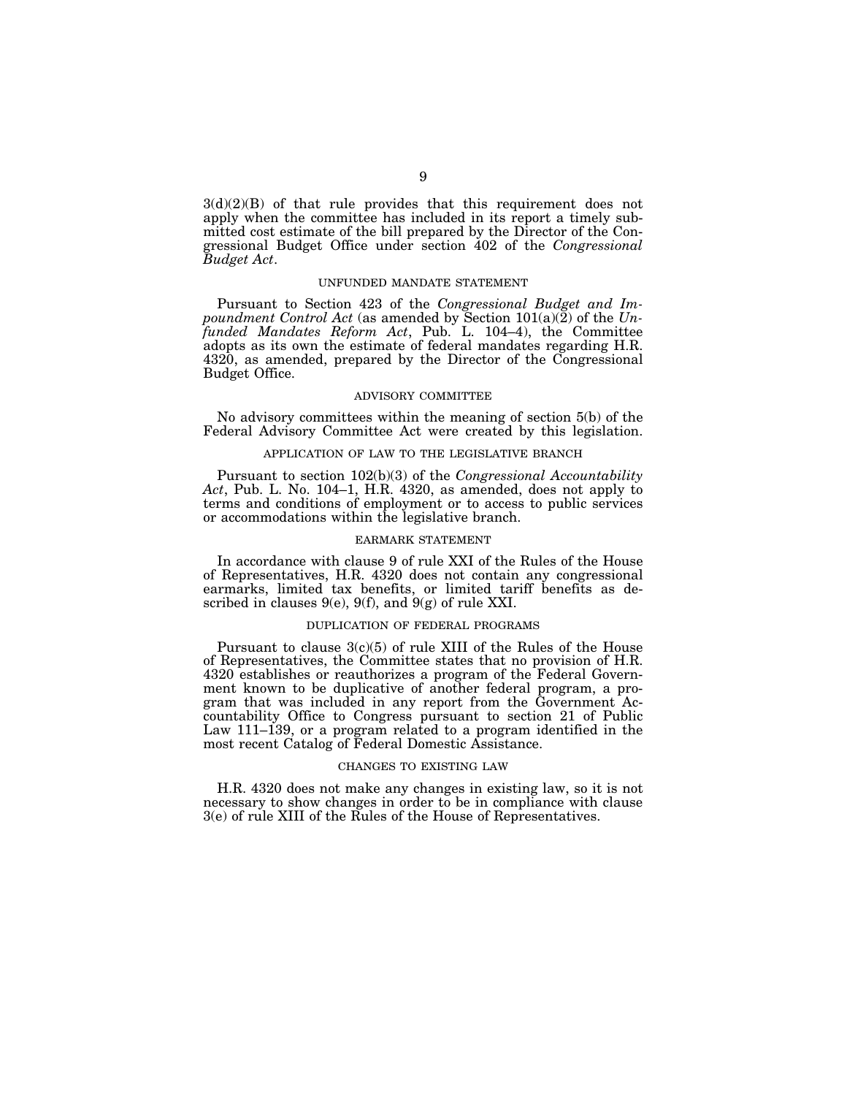$3(d)(2)(B)$  of that rule provides that this requirement does not apply when the committee has included in its report a timely submitted cost estimate of the bill prepared by the Director of the Congressional Budget Office under section 402 of the *Congressional Budget Act*.

## UNFUNDED MANDATE STATEMENT

Pursuant to Section 423 of the *Congressional Budget and Impoundment Control Act* (as amended by Section 101(a)(2) of the *Unfunded Mandates Reform Act*, Pub. L. 104–4), the Committee adopts as its own the estimate of federal mandates regarding H.R. 4320, as amended, prepared by the Director of the Congressional Budget Office.

### ADVISORY COMMITTEE

No advisory committees within the meaning of section 5(b) of the Federal Advisory Committee Act were created by this legislation.

## APPLICATION OF LAW TO THE LEGISLATIVE BRANCH

Pursuant to section 102(b)(3) of the *Congressional Accountability Act*, Pub. L. No. 104–1, H.R. 4320, as amended, does not apply to terms and conditions of employment or to access to public services or accommodations within the legislative branch.

#### EARMARK STATEMENT

In accordance with clause 9 of rule XXI of the Rules of the House of Representatives, H.R. 4320 does not contain any congressional earmarks, limited tax benefits, or limited tariff benefits as described in clauses 9(e), 9(f), and  $9(g)$  of rule XXI.

## DUPLICATION OF FEDERAL PROGRAMS

Pursuant to clause 3(c)(5) of rule XIII of the Rules of the House of Representatives, the Committee states that no provision of H.R. 4320 establishes or reauthorizes a program of the Federal Government known to be duplicative of another federal program, a program that was included in any report from the Government Accountability Office to Congress pursuant to section 21 of Public Law 111–139, or a program related to a program identified in the most recent Catalog of Federal Domestic Assistance.

## CHANGES TO EXISTING LAW

H.R. 4320 does not make any changes in existing law, so it is not necessary to show changes in order to be in compliance with clause 3(e) of rule XIII of the Rules of the House of Representatives.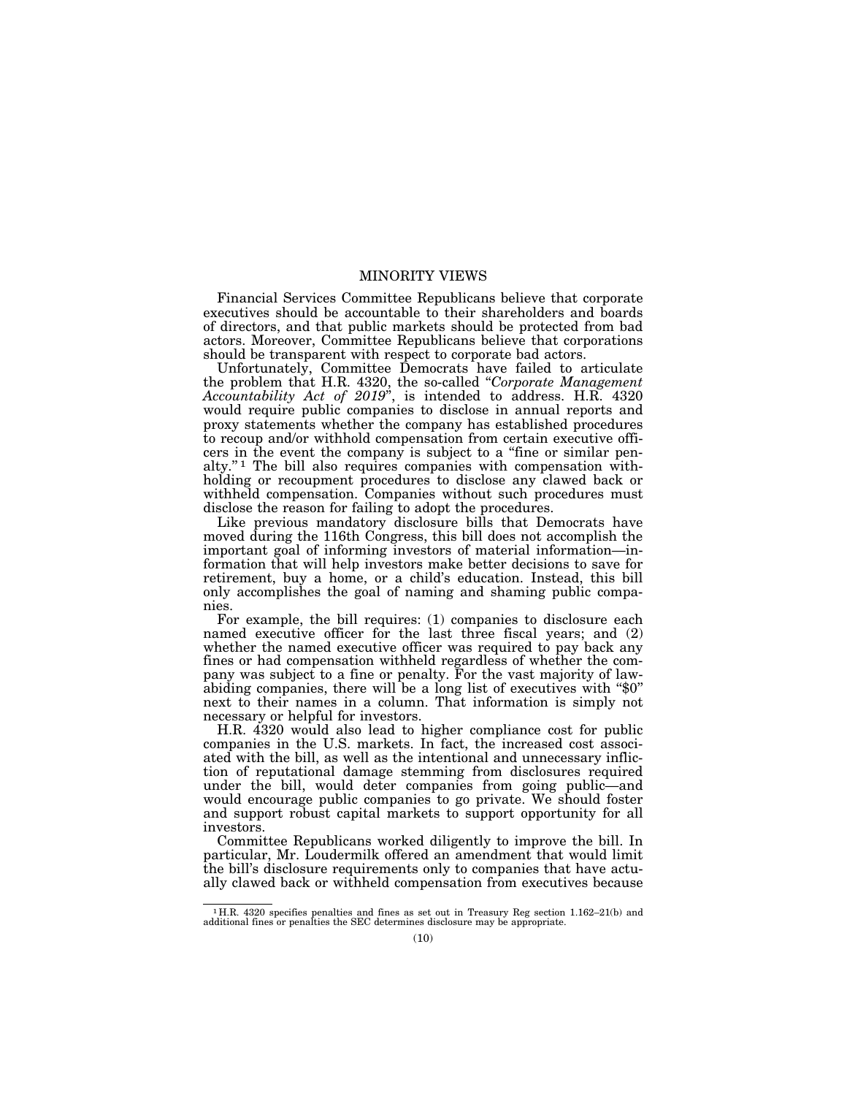## MINORITY VIEWS

Financial Services Committee Republicans believe that corporate executives should be accountable to their shareholders and boards of directors, and that public markets should be protected from bad actors. Moreover, Committee Republicans believe that corporations should be transparent with respect to corporate bad actors.

Unfortunately, Committee Democrats have failed to articulate the problem that H.R. 4320, the so-called ''*Corporate Management Accountability Act of 2019*'', is intended to address. H.R. 4320 would require public companies to disclose in annual reports and proxy statements whether the company has established procedures to recoup and/or withhold compensation from certain executive officers in the event the company is subject to a ''fine or similar penalty.'' 1 The bill also requires companies with compensation withholding or recoupment procedures to disclose any clawed back or withheld compensation. Companies without such procedures must disclose the reason for failing to adopt the procedures.

Like previous mandatory disclosure bills that Democrats have moved during the 116th Congress, this bill does not accomplish the important goal of informing investors of material information—information that will help investors make better decisions to save for retirement, buy a home, or a child's education. Instead, this bill only accomplishes the goal of naming and shaming public companies.

For example, the bill requires: (1) companies to disclosure each named executive officer for the last three fiscal years; and (2) whether the named executive officer was required to pay back any fines or had compensation withheld regardless of whether the company was subject to a fine or penalty. For the vast majority of lawabiding companies, there will be a long list of executives with "\$0" next to their names in a column. That information is simply not necessary or helpful for investors.

H.R. 4320 would also lead to higher compliance cost for public companies in the U.S. markets. In fact, the increased cost associated with the bill, as well as the intentional and unnecessary infliction of reputational damage stemming from disclosures required under the bill, would deter companies from going public—and would encourage public companies to go private. We should foster and support robust capital markets to support opportunity for all investors.

Committee Republicans worked diligently to improve the bill. In particular, Mr. Loudermilk offered an amendment that would limit the bill's disclosure requirements only to companies that have actually clawed back or withheld compensation from executives because

<sup>1</sup> H.R. 4320 specifies penalties and fines as set out in Treasury Reg section 1.162–21(b) and additional fines or penalties the SEC determines disclosure may be appropriate.